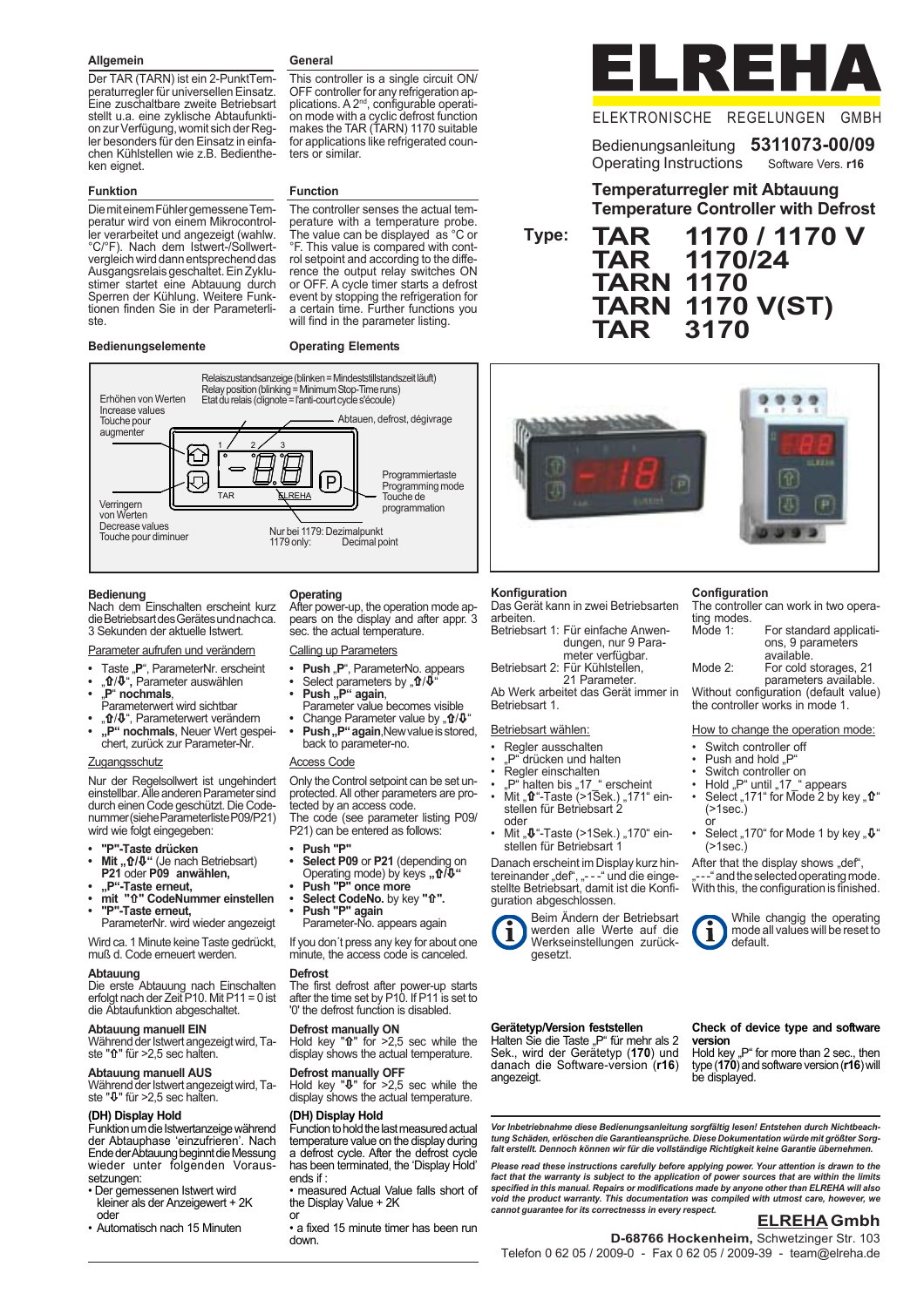#### **Allgemein**

Der TAR (TARN) ist ein 2-PunktTemperaturregler für universellen Einsatz. Eine zuschaltbare zweite Betriebsart stellt u.a. eine zyklische Abtaufunktion zur Verfügung, womit sich der Regler besonders für den Einsatz in einfachen Kühlstellen wie z.B. Bedientheken eignet.

#### **Funktion**

Die mit einem Fühler gemessene Temperatur wird von einem Mikrocontroller verarbeitet und angezeigt (wahlw. °C/°F). Nach dem Istwert-/Sollwertvergleich wird dann entsprechend das Ausgangsrelais geschaltet. Ein Zyklustimer startet eine Abtauung durch Sperren der Kühlung. Weitere Funktionen finden Sie in der Parameterliste.

#### **Bedienungselemente**

#### **General**

**Function**

**Operating Elements**

This controller is a single circuit ON/ OFF controller for any refrigeration applications. A 2<sup>nd</sup>, configurable operation mode with a cyclic defrost function makes the TAR (TARN) 1170 suitable for applications like refrigerated counters or similar.

The controller senses the actual temperature with a temperature probe. The value can be displayed as °C or °F. This value is compared with control setpoint and according to the difference the output relay switches ON or OFF. A cycle timer starts a defrost event by stopping the refrigeration for a certain time. Further functions you will find in the parameter listing.



#### ELEKTRONISCHE REGELUNGEN GMBH

## Bedienungsanleitung **5311073-00/09**

Operating Instructions Software Vers. **r16**

**Temperaturregler mit Abtauung Temperature Controller with Defrost**

**TAR 1170 / 1170 V TAR 1170/24 TARN 1170 TARN 1170 V(ST) TAR 3170 Type:**



#### **Bedienung**

Nach dem Einschalten erscheint kurz die Betriebsart des Gerätes und nach ca. 3 Sekunden der aktuelle Istwert.

#### Parameter aufrufen und verändern

**•** Taste "**P**", ParameterNr. erscheint

- "**t**ł/ $\Psi$ ", Parameter auswählen<br>• "**P" nochmals**,
- 
- Parameterwert wird sichtbar
- " $\mathbf{\hat{n}}/\mathbf{\hat{U}}$ ", Parameterwert verändern **• "P" nochmals**, Neuer Wert gespeichert, zurück zur Parameter-Nr.

#### Zugangsschutz

Nur der Regelsollwert ist ungehindert einstellbar. Alle anderen Parameter sind durch einen Code geschützt. Die Codenummer (siehe Parameterliste P09/P21) wird wie folgt eingegeben:

- **"P"-Taste drücken**
- **Mit** " nt/ $\Psi$ " (Je nach Betriebsart)<br>**P21** oder **P09 anwählen**,
- 
- **"P"-Taste erneut,**
- **mit "**×**" CodeNummer einstellen • "P"-Taste erneut,** ParameterNr. wird wieder angezeigt

Wird ca. 1 Minute keine Taste gedrückt,

muß d. Code erneuert werden.

#### **Abtauung**

Die erste Abtauung nach Einschalten erfolgt nach der Zeit P10. Mit P11 = 0 ist die Abtaufunktion abgeschaltet.

#### **Abtauung manuell EIN**

Während der Istwert angezeigt wird, Taste "û" für >2.5 sec halten.

#### **Abtauung manuell AUS**

Während der Istwert angezeigt wird, Taste "Ø" für >2,5 sec halten.

#### **(DH) Display Hold**

Funktion um die Istwertanzeige während der Abtauphase 'einzufrieren'. Nach Ende der Abtauung beginnt die Messung wieder unter folgenden Voraussetzungen:

- Der gemessenen Istwert wird kleiner als der Anzeigewert + 2K oder
- Automatisch nach 15 Minuten

#### **Operating**

After power-up, the operation mode appears on the display and after appr. 3 sec. the actual temperature.

- Calling up Parameters
- Push "P", ParameterNo. appears
- Select parameters by "**û/**Ψ"<br>• **Push "P" again**,
- 
- Parameter value becomes visible
- **Change Parameter value by "10/** $\Psi$ **" Push, P" again**, New value is stored,
- back to parameter-no.

#### Access Code

Only the Control setpoint can be set unprotected. All other parameters are protected by an access code. The code (see parameter listing P09/

- P21) can be entered as follows:
- **Push "P"**
- **Select P09** or **P21** (depending on
- Operating mode) by keys "<br>  **Push "P" once more**
- **Select CodeNo.** by key " $\hat{\textbf{T}}$ ".
- **Push "P" again** Parameter-No. appears again

If you don´t press any key for about one minute, the access code is canceled.

#### **Defrost**

The first defrost after power-up starts after the time set by P10. If P11 is set to '0' the defrost function is disabled.

#### **Defrost manually ON**

Hold key " $\hat{\mathbf{r}}$ " for  $>2.5$  sec while the display shows the actual temperature.

#### **Defrost manually OFF**

Hold key "Ø" for >2,5 sec while the display shows the actual temperature.

#### **(DH) Display Hold**

Function to hold the last measured actual temperature value on the display during a defrost cycle. After the defrost cycle has been terminated, the 'Display Hold' ends if :

• measured Actual Value falls short of the Display Value + 2K or

• a fixed 15 minute timer has been run down.



# ø  $999$ m m

**Konfiguration** Das Gerät kann in zwei Betriebsarten arbeiten. Betriebsart 1: Für einfache Anwen-dungen, nur 9 Para-

meter verfügbar.

Betriebsart 2: Für Kühlstellen, 21 Parameter.

Ab Werk arbeitet das Gerät immer in Betriebsart 1.

Betriebsart wählen:

- Regler ausschalten "P" drücken und halten
- Regler einschalten
- 
- "P" halten bis "17\_" erscheint<br>• Mit "**û**"-Taste (>1Sek.) "171" einstellen für Betriebsart 2 oder
- Mit " $\Phi$ "-Taste (>1Sek.) "170" einstellen für Betriebsart 1

Danach erscheint im Display kurz hintereinander "def", "- - - " und die eingestellte Betriebsart, damit ist die Konfiguration abgeschlossen.



Beim Ändern der Betriebsart werden alle Werte auf die Werkseinstellungen zurückgesetzt.

#### **Gerätetyp/Version feststellen**

Halten Sie die Taste "P" für mehr als 2 Sek., wird der Gerätetyp (**170**) und danach die Software-version (**r16**) angezeigt.

#### **Check of device type and software version**

Hold key "P" for more than 2 sec., then type (**170**) and software version (**r16**) will be displayed.

*Vor Inbetriebnahme diese Bedienungsanleitung sorgfältig lesen! Entstehen durch Nichtbeachtung Schäden, erlöschen die Garantieansprüche. Diese Dokumentation würde mit größter Sorgfalt erstellt. Dennoch können wir für die vollständige Richtigkeit keine Garantie übernehmen.*

*Please read these instructions carefully before applying power. Your attention is drawn to the fact that the warranty is subject to the application of power sources that are within the limits specified in this manual. Repairs or modifications made by anyone other than ELREHA will also void the product warranty. This documentation was compiled with utmost care, however, we cannot guarantee for its correctnesss in every respect.*

#### **ELREHA Gmbh**

**D-68766 Hockenheim,** Schwetzinger Str. 103 Telefon 0 62 05 / 2009-0 - Fax 0 62 05 / 2009-39 - team@elreha.de

**Configuration** The controller can work in two operating modes. Mode 1: For standard applicati-

ons, 9 parameters available. Mode 2: For cold storages, 21 parameters available.

Without configuration (default value) the controller works in mode 1.

How to change the operation mode:

Select "170" for Mode 1 by key " $\mathbf{\Psi}^*$ 

After that the display shows "def",<br>"---" and the selected operating mode. With this, the configuration is finished.

> While changig the operating mode all values will be reset to

- Switch controller off
- Push and hold "F Switch controller on

default.

• Hold "P" until "17\_" appears<br>• Select "171" for Mode 2 by key "**û**"

 $($ >1sec. $)$ or

(>1sec.)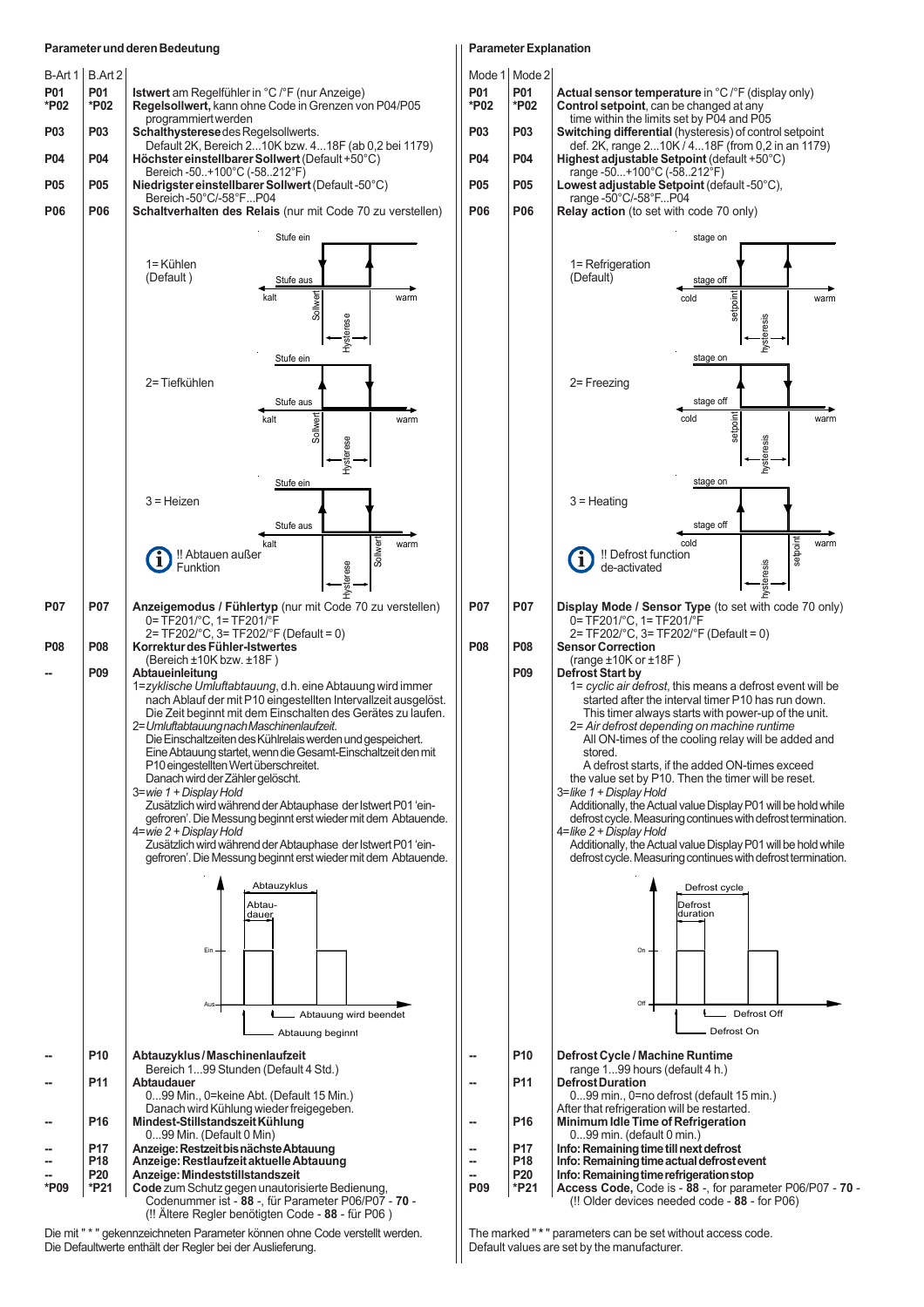#### **Parameter und deren Bedeutung**



Die mit " \* " gekennzeichneten Parameter können ohne Code verstellt werden. Die Defaultwerte enthält der Regler bei der Auslieferung.

#### **Parameter Explanation**



The marked " **\*** " parameters can be set without access code. Default values are set by the manufacturer.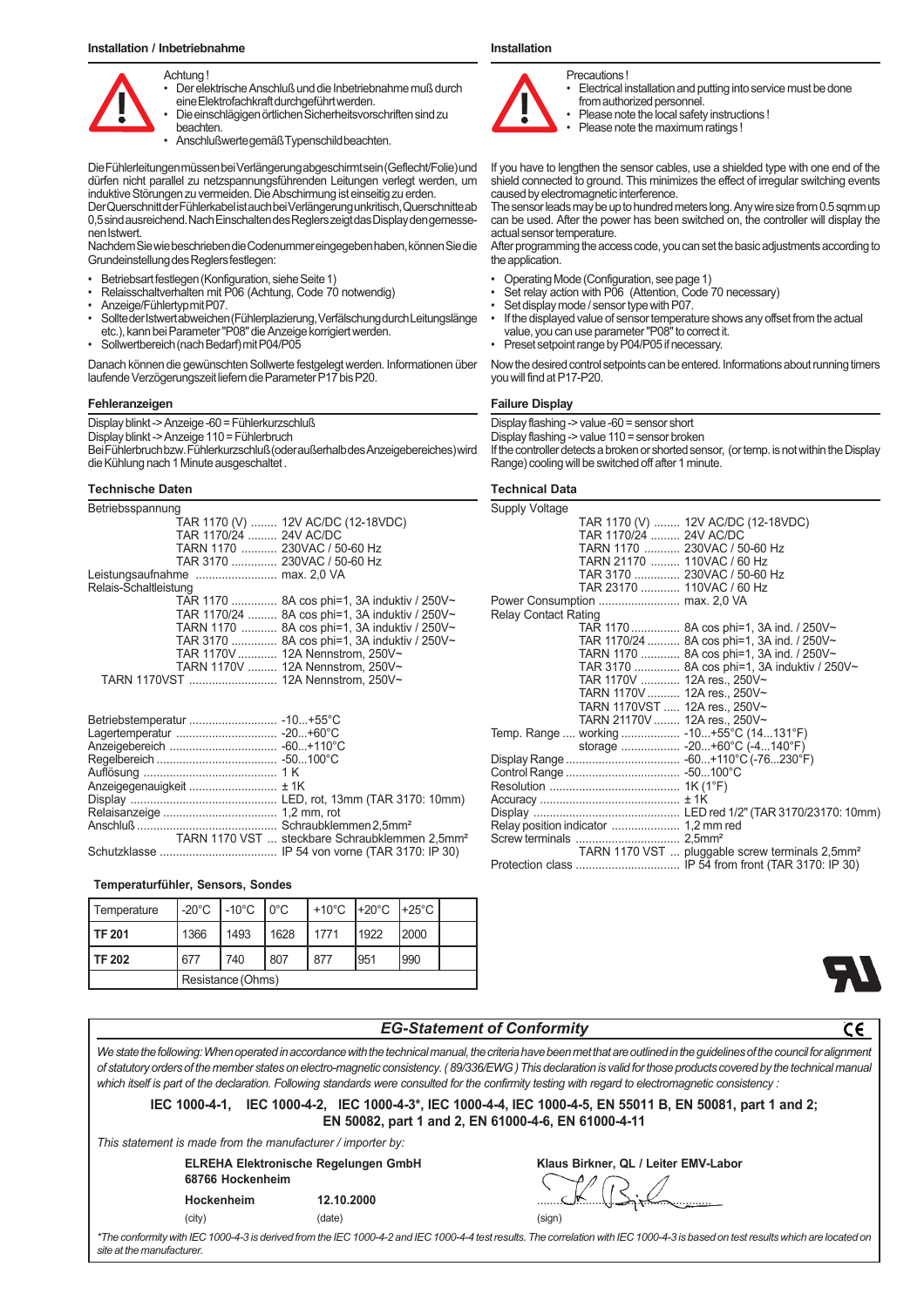

• Der elektrische Anschluß und die Inbetriebnahme muß durch eine Elektrofachkraft durchgeführt werden.

• Die einschlägigen örtlichen Sicherheitsvorschriften sind zu beachten.

• Anschlußwerte gemäß Typenschild beachten.

Die Fühlerleitungen müssen bei Verlängerung abgeschirmt sein (Geflecht/Folie) und dürfen nicht parallel zu netzspannungsführenden Leitungen verlegt werden, um induktive Störungen zu vermeiden. Die Abschirmung ist einseitig zu erden.

Der Querschnitt der Fühlerkabel ist auch bei Verlängerung unkritisch, Querschnitte ab 0,5 sind ausreichend. Nach Einschalten des Reglers zeigt das Display den gemessenen Istwert.

Nachdem Sie wie beschrieben die Codenummer eingegeben haben, können Sie die Grundeinstellung des Reglers festlegen:

- Betriebsart festlegen (Konfiguration, siehe Seite 1)
- Relaisschaltverhalten mit P06 (Achtung, Code 70 notwendig)
- Anzeige/Fühlertyp mit P07.
- Sollte der Istwert abweichen (Fühlerplazierung, Verfälschung durch Leitungslänge etc.), kann bei Parameter "P08" die Anzeige korrigiert werden.
- Sollwertbereich (nach Bedarf) mit P04/P05

Danach können die gewünschten Sollwerte festgelegt werden. Informationen über laufende Verzögerungszeit liefern die Parameter P17 bis P20.

#### **Fehleranzeigen**

Display blinkt -> Anzeige -60 = Fühlerkurzschluß Display blinkt -> Anzeige 110 = Fühlerbruch Bei Fühlerbruch bzw. Fühlerkurzschluß (oder außerhalb des Anzeigebereiches) wird die Kühlung nach 1 Minute ausgeschaltet .

#### **Technische Daten**

| Betriebsspannung       |                                                |
|------------------------|------------------------------------------------|
|                        | TAR 1170 (V)  12V AC/DC (12-18VDC)             |
| TAR 1170/24  24V AC/DC |                                                |
|                        | TARN 1170  230VAC / 50-60 Hz                   |
|                        | TAR 3170  230VAC / 50-60 Hz                    |
|                        |                                                |
| Relais-Schaltleistung  |                                                |
|                        | TAR 1170  8A cos phi=1, 3A induktiv / 250V~    |
|                        | TAR 1170/24  8A cos phi=1, 3A induktiv / 250V~ |
|                        | TARN 1170  8A cos phi=1, 3A induktiv / 250V~   |
|                        | TAR 3170  8A cos phi=1, 3A induktiv / 250V~    |
|                        | TAR 1170V  12A Nennstrom, 250V~                |
|                        | TARN 1170V  12A Nennstrom, 250V~               |
|                        |                                                |
|                        |                                                |

| TARN 1170 VST  steckbare Schraubklemmen 2.5mm <sup>2</sup> |
|------------------------------------------------------------|
|                                                            |

#### **Temperaturfühler, Sensors, Sondes**

| Temperature |                   | I-20℃ I-10℃ I0℃ |      |      |      |      |  |
|-------------|-------------------|-----------------|------|------|------|------|--|
| l TF 201    | 1366              | 1493            | 1628 | 1771 | 1922 | 2000 |  |
| l TF 202    | 677               | 740             | 807  | 877  | 951  | 990  |  |
|             | Resistance (Ohms) |                 |      |      |      |      |  |

#### **Installation**



Precautions !

- Electrical installation and putting into service must be done from authorized personnel.
- Please note the local safety instructions !
- Please note the maximum ratings !

If you have to lengthen the sensor cables, use a shielded type with one end of the shield connected to ground. This minimizes the effect of irregular switching events caused by electromagnetic interference.

The sensor leads may be up to hundred meters long. Any wire size from 0.5 sqmm up can be used. After the power has been switched on, the controller will display the actual sensor temperature.

After programming the access code, you can set the basic adjustments according to the application.

- Operating Mode (Configuration, see page 1)
- Set relay action with P06 (Attention, Code 70 necessary)
- Set display mode / sensor type with P07.
- If the displayed value of sensor temperature shows any offset from the actual value, you can use parameter "P08" to correct it.
- Preset setpoint range by P04/P05 if necessary.

Now the desired control setpoints can be entered. Informations about running timers you will find at P17-P20.

#### **Failure Display**

Display flashing -> value -60 = sensor short

Display flashing -> value 110 = sensor broken

If the controller detects a broken or shorted sensor, (or temp. is not within the Display Range) cooling will be switched off after 1 minute.

### **Technical Data**

| Supply Voltage              |                                      |                                                             |
|-----------------------------|--------------------------------------|-------------------------------------------------------------|
|                             |                                      | TAR 1170 (V)  12V AC/DC (12-18VDC)                          |
|                             | TAR 1170/24 24V AC/DC                |                                                             |
|                             |                                      | TARN 1170  230VAC / 50-60 Hz                                |
|                             | TARN 21170  110VAC / 60 Hz           |                                                             |
|                             |                                      | TAR 3170  230VAC / 50-60 Hz                                 |
|                             | TAR 23170  110VAC / 60 Hz            |                                                             |
|                             |                                      |                                                             |
| <b>Relay Contact Rating</b> |                                      |                                                             |
|                             |                                      | TAR 1170  8A cos phi=1, 3A ind. / 250V~                     |
|                             |                                      | TAR 1170/24  8A cos phi=1, 3A ind. / 250V~                  |
|                             |                                      | TARN 1170  8A cos phi=1, 3A ind. / 250V~                    |
|                             |                                      | TAR 3170  8A cos phi=1, 3A induktiv / 250V~                 |
|                             | TAR 1170V  12A res., 250V~           |                                                             |
|                             | TARN 1170V  12A res., 250V~          |                                                             |
|                             | TARN 1170VST  12A res., 250V~        |                                                             |
|                             | TARN 21170V  12A res., 250V~         |                                                             |
|                             |                                      | Temp. Range  working  -10+55°C (14131°F)                    |
|                             |                                      | storage  -20+60°C (-4140°F)                                 |
|                             |                                      |                                                             |
|                             |                                      |                                                             |
|                             |                                      |                                                             |
|                             |                                      |                                                             |
|                             |                                      |                                                             |
|                             | Relay position indicator  1,2 mm red |                                                             |
|                             |                                      |                                                             |
|                             |                                      | TARN 1170 VST  pluggable screw terminals 2,5mm <sup>2</sup> |
|                             |                                      |                                                             |



| <b>EG-Statement of Conformity</b>                                                                                                                                                                                                                                                                                                                                                                                                                                                                        |            |                                      |  |
|----------------------------------------------------------------------------------------------------------------------------------------------------------------------------------------------------------------------------------------------------------------------------------------------------------------------------------------------------------------------------------------------------------------------------------------------------------------------------------------------------------|------------|--------------------------------------|--|
| We state the following: When operated in accordance with the technical manual, the criteria have been met that are outlined in the quidelines of the council for alignment<br>of statutory orders of the member states on electro-magnetic consistency. (89/336/EWG) This declaration is valid for those products covered by the technical manual<br>which itself is part of the declaration. Following standards were consulted for the confirmity testing with regard to electromagnetic consistency : |            |                                      |  |
| IEC 1000-4-1, IEC 1000-4-2, IEC 1000-4-3*, IEC 1000-4-4, IEC 1000-4-5, EN 55011 B, EN 50081, part 1 and 2;<br>EN 50082, part 1 and 2, EN 61000-4-6, EN 61000-4-11                                                                                                                                                                                                                                                                                                                                        |            |                                      |  |
| This statement is made from the manufacturer / importer by:                                                                                                                                                                                                                                                                                                                                                                                                                                              |            |                                      |  |
| <b>ELREHA Elektronische Regelungen GmbH</b><br>68766 Hockenheim                                                                                                                                                                                                                                                                                                                                                                                                                                          |            | Klaus Birkner, QL / Leiter EMV-Labor |  |
| Hockenheim                                                                                                                                                                                                                                                                                                                                                                                                                                                                                               | 12.10.2000 |                                      |  |
| (city)                                                                                                                                                                                                                                                                                                                                                                                                                                                                                                   | (date)     | (sign)                               |  |
| *The conformity with IEC 1000-4-3 is derived from the IEC 1000-4-2 and IEC 1000-4-4 test results. The correlation with IEC 1000-4-3 is based on test results which are located on<br>site at the manufacturer.                                                                                                                                                                                                                                                                                           |            |                                      |  |